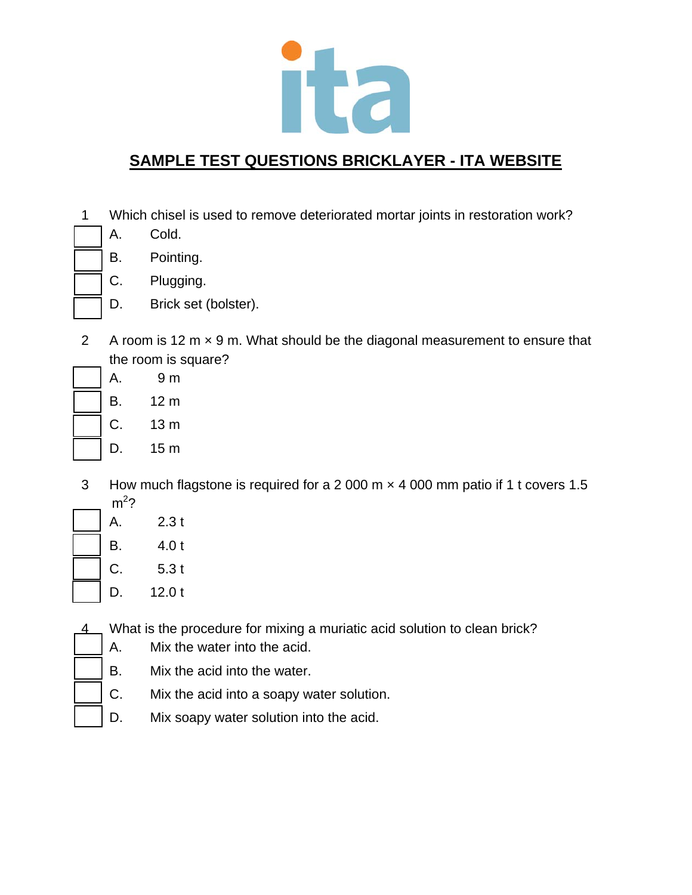

- 1 Which chisel is used to remove deteriorated mortar joints in restoration work?
	- A. Cold.
	- B. Pointing.
	- C. Plugging.
	- D. Brick set (bolster).
- 2 A room is 12 m  $\times$  9 m. What should be the diagonal measurement to ensure that the room is square?
	- A. 9 m B. 12 m C. 13 m D. 15 m
- 3 How much flagstone is required for a 2 000 m × 4 000 mm patio if 1 t covers 1.5  $m^2$ ?
- A. 2.3 t B. 4.0 t C. 5.3 t D. 12.0 t
- 4 What is the procedure for mixing a muriatic acid solution to clean brick?
	- A. Mix the water into the acid.
	- B. Mix the acid into the water.
	- C. Mix the acid into a soapy water solution.
	- D. Mix soapy water solution into the acid.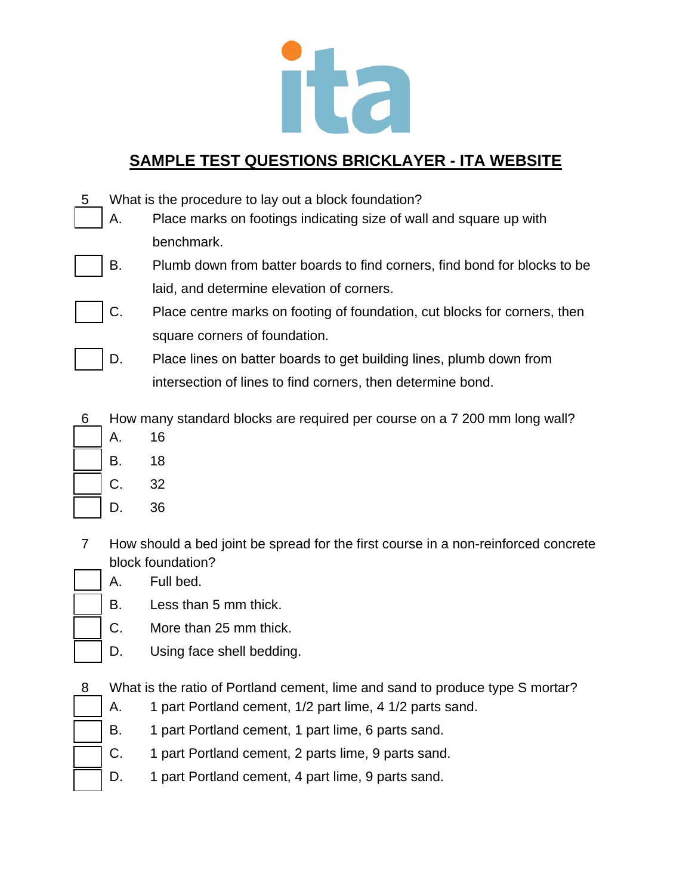

- 5 What is the procedure to lay out a block foundation?
	- A. Place marks on footings indicating size of wall and square up with benchmark.
	- B. Plumb down from batter boards to find corners, find bond for blocks to be laid, and determine elevation of corners.
	- C. Place centre marks on footing of foundation, cut blocks for corners, then square corners of foundation.
		- D. Place lines on batter boards to get building lines, plumb down from intersection of lines to find corners, then determine bond.
- 6 How many standard blocks are required per course on a 7 200 mm long wall?
	- A. 16 B. 18
		- C. 32
		- D. 36
- 7 How should a bed joint be spread for the first course in a non-reinforced concrete block foundation?
	- A. Full bed.
	- B. Less than 5 mm thick.
	- C. More than 25 mm thick.
	- D. Using face shell bedding.
- 8 What is the ratio of Portland cement, lime and sand to produce type S mortar?
	- A. 1 part Portland cement, 1/2 part lime, 4 1/2 parts sand.
	- B. 1 part Portland cement, 1 part lime, 6 parts sand.
	- C. 1 part Portland cement, 2 parts lime, 9 parts sand.
	- D. 1 part Portland cement, 4 part lime, 9 parts sand.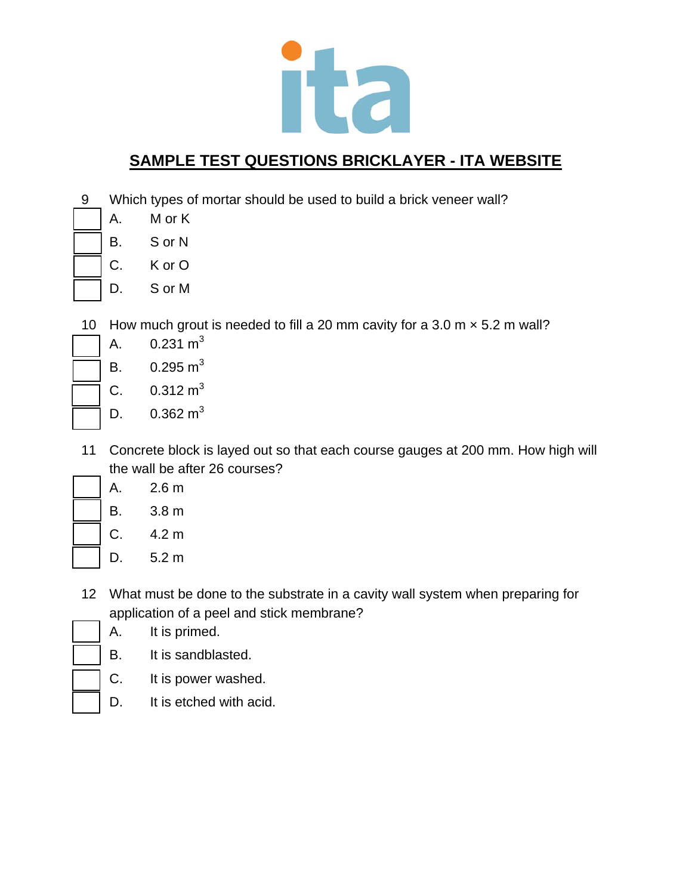

- 9 Which types of mortar should be used to build a brick veneer wall?
	- A. M or K
	- B. S or N
		- C. K or O
		- D. S or M
- 10 How much grout is needed to fill a 20 mm cavity for a 3.0 m  $\times$  5.2 m wall?
	- A.  $0.231 \text{ m}^3$
	- B.  $0.295 \text{ m}^3$
	- C.  $0.312 \text{ m}^3$ 
		- D.  $0.362 \text{ m}^3$
- 11 Concrete block is layed out so that each course gauges at 200 mm. How high will the wall be after 26 courses?
	- A. 2.6 m B. 3.8 m C. 4.2 m
		- D. 5.2 m
- 12 What must be done to the substrate in a cavity wall system when preparing for application of a peel and stick membrane?
	- A. It is primed.
		- B. It is sandblasted.
		- C. It is power washed.
		- D. It is etched with acid.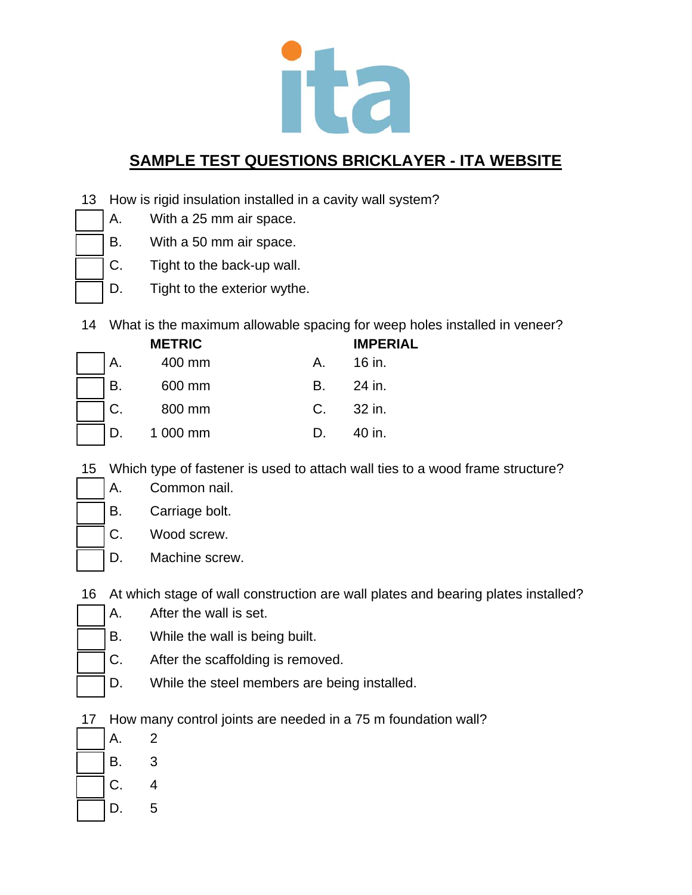

- 13 How is rigid insulation installed in a cavity wall system?
	- A. With a 25 mm air space.
	- B. With a 50 mm air space.
	- C. Tight to the back-up wall.
	- D. Tight to the exterior wythe.
- 14 What is the maximum allowable spacing for weep holes installed in veneer?

|    | <b>METRIC</b> |         | <b>IMPERIAL</b> |
|----|---------------|---------|-----------------|
| Α. | 400 mm        | A.      | 16 in.          |
| В. | 600 mm        | B.      | 24 in.          |
| C. | 800 mm        | $C_{1}$ | 32 in.          |
|    | 1 000 mm      |         | 40 in.          |

- 15 Which type of fastener is used to attach wall ties to a wood frame structure?
	- B. Carriage bolt.

A. Common nail.

- C. Wood screw.
- D. Machine screw.
- 16 At which stage of wall construction are wall plates and bearing plates installed?
- A. After the wall is set.
	- B. While the wall is being built.
	- C. After the scaffolding is removed.
	- D. While the steel members are being installed.
- 17 How many control joints are needed in a 75 m foundation wall?
- A. 2 B. 3 C. 4 D. 5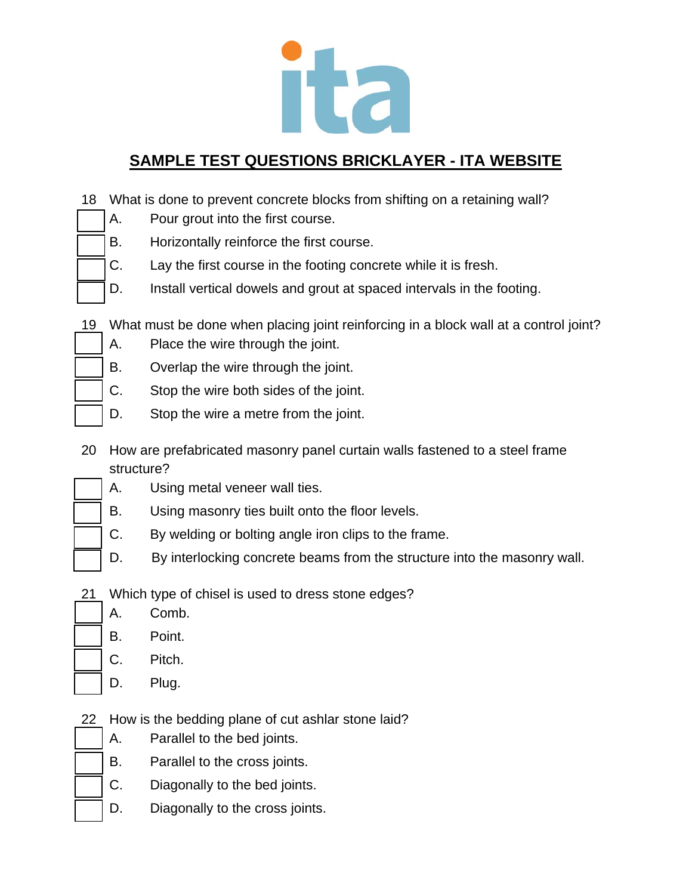

- 18 What is done to prevent concrete blocks from shifting on a retaining wall?
	- A. Pour grout into the first course.
	- B. Horizontally reinforce the first course.
	- C. Lay the first course in the footing concrete while it is fresh.
	- D. Install vertical dowels and grout at spaced intervals in the footing.
- 19 What must be done when placing joint reinforcing in a block wall at a control joint?
	- A. Place the wire through the joint.
	- B. Overlap the wire through the joint.
	- C. Stop the wire both sides of the joint.
	- D. Stop the wire a metre from the joint.
- 20 How are prefabricated masonry panel curtain walls fastened to a steel frame structure?
	- A. Using metal veneer wall ties.
		- B. Using masonry ties built onto the floor levels.
	- C. By welding or bolting angle iron clips to the frame.
	- D. By interlocking concrete beams from the structure into the masonry wall.
- 21 Which type of chisel is used to dress stone edges?
	- A. Comb.
	- B. Point.
	- C. Pitch.
	- D. Plug.
- 22 How is the bedding plane of cut ashlar stone laid?
	- A. Parallel to the bed joints.
	- B. Parallel to the cross joints.
		- C. Diagonally to the bed joints.
	- D. Diagonally to the cross joints.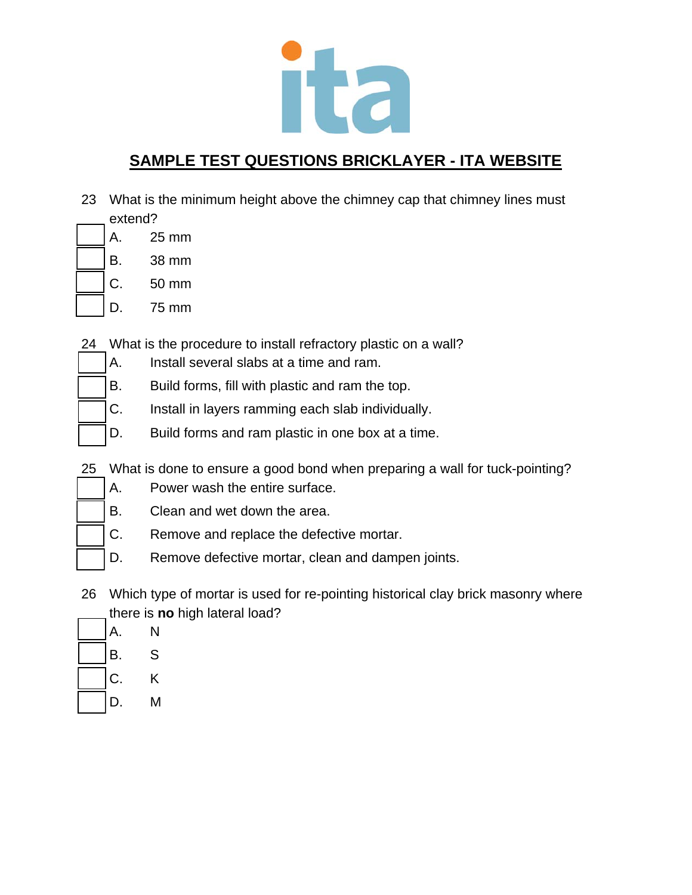

- 23 What is the minimum height above the chimney cap that chimney lines must extend?
	- A. 25 mm
		- B. 38 mm
	- C. 50 mm
		- D. 75 mm
- 24 What is the procedure to install refractory plastic on a wall?
	- A. Install several slabs at a time and ram.
	- B. Build forms, fill with plastic and ram the top.
		- C. Install in layers ramming each slab individually.
		- D. Build forms and ram plastic in one box at a time.
- 25 What is done to ensure a good bond when preparing a wall for tuck-pointing?
	- A. Power wash the entire surface.
	- B. Clean and wet down the area.
	- C. Remove and replace the defective mortar.
	- D. Remove defective mortar, clean and dampen joints.
- 26 Which type of mortar is used for re-pointing historical clay brick masonry where there is **no** high lateral load?
- A. N B. S
- C. K
- D. M